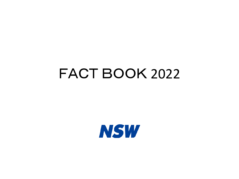# FACT BOOK 2022

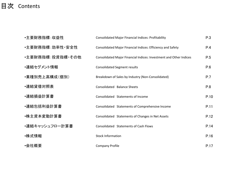### 目次 Contents

| •主要財務指標∶収益性      | Consolidated Major Financial Indices: Profitability                | P.3  |
|------------------|--------------------------------------------------------------------|------|
| •主要財務指標:効率性·安全性  | Consolidated Major Financial Indices: Efficiency and Safety        | P.4  |
| •主要財務指標:投資指標・その他 | Consolidated Major Financial Indices: Investment and Other Indices | P.5  |
| ・連結セグメント情報       | <b>Consolidated Segment results</b>                                | P.6  |
| •業種別売上高構成(個別)    | Breakdown of Sales by Industry (Non-Consolidated)                  | P.7  |
| ∙連結貸借対照表         | Consolidated Balance Sheets                                        | P.8  |
| ∙連結損益計算書         | Consolidated Statements of Income                                  | P.10 |
| •連結包括利益計算書       | Consolidated Statements of Comprehensive Income                    | P.11 |
| •株主資本変動計算書       | Consolidated Statements of Changes in Net Assets                   | P.12 |
| ・連結キャッシュフロ一計算書   | Consolidated Statements of Cash Flows                              | P.14 |
| ∙株式情報            | <b>Stock Information</b>                                           | P.16 |
| ∙会社概要            | <b>Company Profile</b>                                             | P.17 |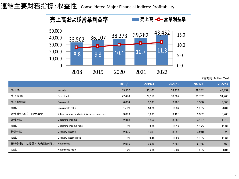連結主要財務指標:収益性 Consolidated Major Financial Indices: Profitability



|                 |                                              | 2018/3 | 2019/3 | 2020/3 | 2021/3 | 2022/3 |
|-----------------|----------------------------------------------|--------|--------|--------|--------|--------|
| 売上高             | Net sales                                    | 33,502 | 36,107 | 38,273 | 39,282 | 43,452 |
| 売上原価            | Cost of sales                                | 27,498 | 29,519 | 30,987 | 31,702 | 34,768 |
| 売上総利益           | Gross profit                                 | 6,004  | 6,587  | 7,285  | 7,580  | 8,683  |
| 同率              | Gross profit ratio                           | 17.9%  | 18.2%  | 19.0%  | 19.3%  | 20.0%  |
| 販売費および一般管理費     | Selling, general and administrative expenses | 3,063  | 3,233  | 3,425  | 3,382  | 3,763  |
| 営業利益            | Operating income                             | 2,940  | 3,354  | 3,860  | 4,197  | 4,919  |
| 同率              | Operating income ratio                       | 8.8%   | 9.3%   | 10.1%  | 10.7%  | 11.3%  |
| 経常利益            | Ordinary income                              | 2,975  | 3,407  | 3,898  | 4,240  | 5,025  |
| 同率              | Ordinary income ratio                        | 8.9%   | 9.4%   | 10.2%  | 10.8%  | 11.6%  |
| 親会社株主に帰属する当期純利益 | Net income                                   | 2,065  | 2,286  | 2,668  | 2,765  | 3,469  |
| 同率              | Net income ratio                             | 6.2%   | 6.3%   | 7.0%   | 7.0%   | 8.0%   |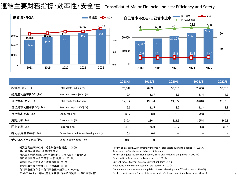連結主要財務指標:効率性・安全性 Consolidated Major Financial Indices: Efficiency and Safety



|                 |                                         | 2018/3 | 2019/3 | 2020/3 | 2021/3 | 2022/3 |
|-----------------|-----------------------------------------|--------|--------|--------|--------|--------|
| 総資産(百万円)        | Total assets (million yen)              | 25,369 | 28,211 | 30,516 | 32,660 | 36,813 |
| 総資産利益率[ROA](%)  | Return on assets [ROA] (%)              | 12.4   | 12.7   | 13.3   | 13.4   | 14.5   |
| 自己資本(百万円)       | Total equity (million yen)              | 17.312 | 19.196 | 21,372 | 23.618 | 26,516 |
| 自己資本利益率[ROE](%) | Return on equity[ROE] (%)               | 12.6   | 12.5   | 13.2   | 12.3   | 13.8   |
| 自己資本比率(%)       | Equity ratio (%)                        | 68.2   | 68.0   | 70.0   | 72.3   | 72.0   |
| 流動比率(%)         | Current ratio (%)                       | 287.4  | 286.1  | 321.3  | 365.4  | 366.8  |
| 固定比率(%)         | Fixed ratio (%)                         | 48.3   | 45.9   | 40.7   | 36.8   | 33.5   |
| 有利子負債依存率(%)     | Dependence on interest-bearing debt (%) | 0.1    | 0.0    |        |        |        |
| デットエクイティ比率(倍)   | Debt-to-equity ratio (times)            | 0.00   | 0.00   |        |        |        |

| 総資産利益率[ROA]=経常利益÷総資産×100(%)         | Return on assets (ROA) = Ordinary income / Total assets during the period $\times$ 100 (%)     |
|-------------------------------------|------------------------------------------------------------------------------------------------|
| 自己資本=純資産-少数株主持分                     | Total equity = Total assets - Minority interests                                               |
| 自己資本利益率[ROE]=当期純利益÷自己資本×100(%)      | Return on equity (ROE) = Net income / Total equity during the period $\times$ 100 (%)          |
| 自己資本比率=自己資本 ÷ 総資産 × 100(%)          | Equity ratio = Total equity / Total assets $\times$ 100 (%)                                    |
| 流動比率=流動資産÷流動負債×100(%)               | Current ratio = Current assets / Current liabilities $\times$ 100 (%)                          |
| 固定比率=固定資産÷自己資本×100(%)               | Fixed ratio = Noncurrent assets / Total equity $\times$ 100 (%)                                |
| 有利子負債依存率=有利子負債÷総資産×100(%)           | Dependence on interest-bearing debt = Interest-bearing debt / Total assets $\times$ 100 (%)    |
| - デットエクイティ比率=(有利子負債–現金及び預金)÷自己資本(倍) | Debt-to-equity ratio = (Interest-bearing debt - Cash and deposits) / Total equity (times)<br>4 |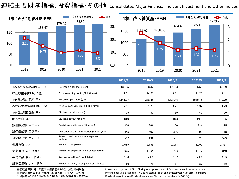連結主要財務指標:投資指標・その他 Consolidated Major Financial Indices : Investment and Other Indices



|                  |                                                    | 2018/3   | 2019/3   | 2020/3   | 2021/3  | 2022/3  |
|------------------|----------------------------------------------------|----------|----------|----------|---------|---------|
| 1株当たり当期純利益(円)    | Net income per share (yen)                         | 138.65   | 153.47   | 179.08   | 185.59  | 232.89  |
| 株価収益率[PER](倍)    | Price to earnings ratio [PER] (times)              | 21.01    | 14.73    | 9.71     | 11.25   | 9.41    |
| 1株当たり純資産(円)      | Net assets per share (yen)                         | 1,161.97 | 1,288.36 | 1,434.46 | 1585.16 | 1779.70 |
| 株価純資産倍率[PBR] (倍) | Price to book value ratio [PBR] (times)            | 2.51     | 1.75     | 1.21     | 1.32    | 1.23    |
| 1株当たり配当金(円)      | Dividend per share (yen)                           | 25       | 30       | 30       | 40      | 50      |
| 配当性向(%)          | Dividend payout ratio (%)                          | 18.0     | 19.5     | 16.8     | 21.6    | 21.5    |
| 設備投資額(百万円)       | Capital expenditures (million yen)                 | 326      | 261      | 260      | 321     | 285     |
| 減価償却費(百万円)       | Depreciation and amortization (million yen)        | 445      | 407      | 396      | 392     | 418     |
| 研究開発費(百万円)       | Research and development expenses<br>(million yen) | 562      | 491      | 551      | 620     | 579     |
| 従業員数(人)          | Number of employees                                | 2,089    | 2,153    | 2,218    | 2,290   | 2,337   |
| 従業員数(人)(個別)      | Number of employees(Non-Consolidated)              | 1,625    | 1,664    | 1,726    | 1,817   | 1,840   |
| (個別)<br>平均年齢(歳)  | Average age (Non-Consolidated)                     | 41.6     | 41.7     | 41.7     | 41.8    | 41.9    |
| 新卒採用数(人)<br>(個別) | Number of newly hired (Non-Consolidated)           | 66       | 78       | 81       | 87      | 115     |

株価収益率[PER]=年度末株価終値÷1株当たり当期純利益 株価純資産倍率[PBR]=年度末株価終値÷1株当たり純資産 配当性向=1株当たり配当金÷1株当たり当期純利益×100(%) Price to earnings ratio (PER) = Closing stock price at end of fiscal year / Net income per share Price to book value ratio (PBR) = Closing stock price at end of fiscal year / Net assets per share Price to book value ratio (PBR) = Closing stock price at end of fiscal year / Net assets per share<br>Dividend payout ratio = Dividend per share / Net income per share  $\times$  100 (%)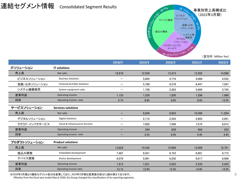### 連結セグメント情報 Consolidated Segment Results



**2018/3 2019/3 2020/3 2021/3 2022/3** ITソリューション **IT solutions** 売上高 Net sales 19,678 12,559 13,415 13,202 14,896 ビジネスソリューション Business Solutions 5,065 4,774 4,086 4,552 金融・公共ソリューション Financial & Public Solutions - 5,768 6,378 6,447 7,597 システム機器販売 System equipment sales - 1,726 2,263 2,669 2,745 営業利益 Operating income 1,125 1,228 1,205 1,298 1,968 同率 Operating income ratio 5.7% 9.8% 13.2% サービスソリューション **Services solutions** 売上高 Net sales 9,204 9,853 10,380 11,854 デジタルソリューション Digital Solutions 2,112 2,343 2,805 2,941 クラウド・インフラサービス Cloud & Infrastructure Services - アルティングのアプリング 7,509 7,509 7,575 8,912 営業利益 Operating income - 294 630 564 525 同率 Operating income ratio 3.2% 6.4% 5.4% 4.4% プロダクトソリューション **Product solutions** 売上高 Net sales 13,824 14,342 15,004 15,699 16,701 組込み開発 Embedded development 7,487 8,351 8,753 8,881 9,715 デバイス開発 Device development 6,070 5,991 6,250 6,817 6,986 **営業利益 Operating income 1,815 1,831 2,023 2,335 2,425** 同率 Operating income ratio 13.1% 12.8% 13.5% 14.9% 14.5%

※2020年3月期より報告セグメント区分を変更しており、2019年3月期は変更後の区分に読み替えております。

Effective from the fiscal year ended March 2020, the Group changed the classification of its reporting segments.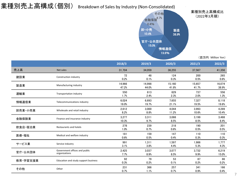### 業種別売上高構成(個別) Breakdown of Sales by Industry (Non-Consolidated)



|          |                                                | 2018/3          | 2019/3          | 2020/3          | 2021/3          | 2022/3          |
|----------|------------------------------------------------|-----------------|-----------------|-----------------|-----------------|-----------------|
| 売上高      | Net sales                                      | 31,704          | 34,059          | 36,255          | 37,567          | 41,356          |
| 建設業      | Construction industry                          | 72<br>0.2%      | 48<br>0.1%      | 124<br>0.3%     | 200<br>0.5%     | 265<br>0.6%     |
| 製造業      | Manufacturing industry                         | 14.966<br>47.2% | 14.998<br>44.0% | 15.160<br>41.8% | 15.657<br>41.7% | 16,074<br>38.9% |
| 運輸業      | Transportation industry                        | 550<br>1.7%     | 813<br>2.4%     | 829<br>2.3%     | 737<br>2.0%     | 556<br>1.3%     |
| 情報通信業    | Telecommunications industry                    | 6,024<br>19.0%  | 6.693<br>19.7%  | 7.655<br>21.1%  | 7.327<br>19.5%  | 8,118<br>19.6%  |
| 卸売業·小売業  | Wholesale and retail industry                  | 2,612<br>8.2%   | 3.000<br>8.8%   | 4.044<br>11.2%  | 3,993<br>10.6%  | 4,289<br>10.4%  |
| 金融保険業    | Finance and insurance industry                 | 3,277<br>10.3%  | 3.311<br>9.7%   | 3.088<br>8.5%   | 3.199<br>8.5%   | 3,488<br>8.4%   |
| 飲食店·宿泊業  | Restaurants and hotels                         | 278<br>1.0%     | 239<br>0.7%     | 218<br>0.6%     | 190<br>0.5%     | 201<br>0.5%     |
| 医療·福祉    | Medical and welfare industry                   | 181<br>0.6%     | 159<br>0.5%     | 147<br>0.4%     | 110<br>0.3%     | 110<br>0.3%     |
| サービス業    | Service industry                               | 991<br>3.1%     | 1,311<br>3.8%   | 1,597<br>4.4%   | 1,986<br>5.3%   | 1,777<br>4.3%   |
| 官庁·公共団体  | Government offices and public<br>organizations | 2,425<br>7.7%   | 3.037<br>8.9%   | 3.077<br>8.5%   | 3.732<br>9.9%   | 6,219<br>15.0%  |
| 教育·学習支援業 | Education and study support business           | 92<br>0.3%      | 79<br>0.2%      | 53<br>0.1%      | 87<br>0.2%      | 86<br>0.2%      |
| その他      | Other                                          | 231<br>0.7%     | 366<br>1.1%     | 257<br>0.7%     | 341<br>0.9%     | 166<br>0.4%     |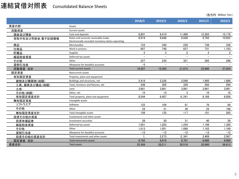### 連結貸借対照表 Consolidated Balance Sheets

|                  |                                                   | 2018/3         | 2019/3                   | 2020/3       | 2021/3         | 2022/3         |
|------------------|---------------------------------------------------|----------------|--------------------------|--------------|----------------|----------------|
| 資産の部             | Assets                                            |                |                          |              |                |                |
| 流動資産             | Current assets                                    |                |                          |              |                |                |
| 現金及び預金           | Cash and deposits                                 | 6,601          | 8,410                    | 11,488       | 12,383         | 15.176         |
| 受取手形及び売掛金,電子記録債権 | Notes and accounts receivable-trade,              | 8,919          | 9.648                    | 8.938        | 9.762          | 10,922         |
|                  | Electronically recorded monetary claims-operating |                |                          |              |                |                |
| 商品               | Merchandise                                       | 153            | 349                      | 226          | 736            | 339            |
| 仕掛品              | Work in process                                   | 687            | 748                      | 837          | 731            | 1,183          |
| 貯蔵品              | <b>Supplies</b>                                   | $\overline{2}$ | 3                        | $\mathbf{2}$ | $\overline{2}$ | $\overline{2}$ |
| 繰延税金資産           | Deferred tax assets                               |                | $\equiv$                 |              | $-$            |                |
| その他              | Other                                             | 227            | 234                      | 321          | 362            | 298            |
| 貸倒引当金            | Allowance for doubtful accounts                   | $-5$           | $\overline{\phantom{0}}$ |              |                |                |
| 流動資産 合計          | <b>Total current assets</b>                       | 16,587         | 19,395                   | 21,815       | 23,980         | 27,924         |
| 固定資産             | Noncurrent assets                                 |                |                          |              |                |                |
| 有形固定資産           | Property, plant and equipment                     |                |                          |              |                |                |
| 建物及び構築物(純額)      | Buildings and structures, net                     | 2.418          | 2,226                    | 2,048        | 1,995          | 1.886          |
| 工具、器具及び備品(純額)    | Tools, furniture and fixtures, net                | 248            | 305                      | 328          | 302            | 294            |
| 土地               | Land                                              | 3.861          | 3.861                    | 3.861        | 3.861          | 3.861          |
| その他(純額)          | Other, net                                        | 15             | 14                       | 3            | 10             | 16             |
| 有形固定資産合計         | Total property, plant and equipment               | 6.544          | 6.407                    | 6, 241       | 6,168          | 6.058          |
| 無形固定資産           | Intangible assets                                 |                |                          |              |                |                |
| ソフトウエア           | Softwear                                          | 122            | 104                      | 81           | 76             | 64             |
| その他              | Other                                             | 34             | 31                       | 36           | 25             | 198            |
| 無形固定資産合計         | Total intangible assets                           | 156            | 135                      | 117          | 101            | 263            |
| 投資その他の資産         | Investments and other assets                      |                |                          |              |                |                |
| 投資有価証券           | Investment securities                             | 28             | 30                       | 31           | 40             | 59             |
| 繰延税金資産           | Deferred tax assets                               | 1.051          | 1.203                    | 1,234        | 1.198          | 1.350          |
| その他              | Other                                             | 1,013          | 1,051                    | 1,089        | 1,183          | 1,169          |
| 貸倒引当金            | Allowance for doubtful accounts                   | $-12$          | $-12$                    | $-12$        | $-12$          | $-12$          |
| 投資その他の資産合計       | Total investments and other assets                |                | 2,273                    | 2,341        | 2.409          | 2.567          |
| 固定資産 合計          | <b>Total noncurrent assets</b>                    | 8.782          | 8.816                    | 8,701        | 8.680          | 8.888          |
| 資産合計             | <b>Total assets</b>                               | 25,369         | 28,211                   | 30,516       | 32.660         | 36,813         |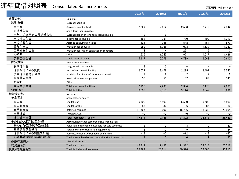### 連結貸借対照表 Consolidated Balance Sheets

|               |                                                       | 2018/3         | 2019/3         | 2020/3         | 2021/3                   | 2022/3 |
|---------------|-------------------------------------------------------|----------------|----------------|----------------|--------------------------|--------|
| 負債の部          | Liabilities                                           |                |                |                |                          |        |
| 流動負債          | <b>Current liabilities</b>                            |                |                |                |                          |        |
| 買掛金           | Accounts payable-trade                                | 2,267          | 2,412          | 2,593          | 2,719                    | 2,942  |
| 短期借入金         | Short-term loans payable                              |                |                |                |                          |        |
| 一年内返済予定の長期借入金 | Current portion of long-term loans payable            | 9              | 6              |                |                          |        |
| 未払法人税等        | Income taxes payable                                  | 598            | 951            | 730            | 709                      | 1,312  |
| 未払消費税等        | Accrued consumption taxes                             | 421            | 395            | 548            | 464                      | 572    |
| 賞与引当金         | Provision for bonuses                                 | 989            | 1,268          | 1,023          | 1,132                    | 1,353  |
| 工事損失引当金       | Provision for loss on construction contracts          | 3              |                | 221            | 19                       | 3      |
| その他           | Other                                                 | 1,636          | 1,745          | 1.671          | 1,517                    | 1,426  |
| 流動負債合計        | <b>Total current liabilities</b>                      | 5,917          | 6,779          | 6,789          | 6.563                    | 7,613  |
| 固定負債          | Noncurrent liabilities                                |                |                |                |                          |        |
| 長期借入金         | Long-term loans payable                               | 8              | $\overline{2}$ |                | $\equiv$                 |        |
| 退職給付に係る負債     | Net defined benefit liability                         | 2,077          | 2,178          | 2,295          | 2,407                    | 2,540  |
| 役員退職慰労引当金     | Provision for directors' retirement benefits          | $\overline{2}$ | $\overline{2}$ | $\overline{2}$ | $\overline{2}$           | 2      |
| 資産除去債務        | Asset retirement obligations                          | 50             | 53             | 57             | 69                       | 141    |
| その他           | Other                                                 |                |                |                | $\overline{\phantom{0}}$ |        |
| 固定負債合計        | <b>Total noncurrent liabilities</b>                   | 2,138          | 2,235          | 2,354          | 2,478                    | 2,683  |
| 負債合計          | <b>Total liabilities</b>                              | 8.056          | 9,015          | 9,144          | 9,042                    | 10,296 |
| 純資産の部         | Net assets                                            |                |                |                |                          |        |
| 株主資本          | Shareholders' equity                                  |                |                |                |                          |        |
| 資本金           | Capital stock                                         | 5,500          | 5,500          | 5,500          | 5,500                    | 5,500  |
| 資本剰余金         | Capital surplus                                       | 86             | 86             | 86             | 86                       | 86     |
| 利益剰余金         | Retained earnings                                     | 11,725         | 13,602         | 15,786         | 18,030                   | 20,904 |
| 自己株式          | Treasury stock                                        | $-0$           | $-0$           | $-0$           | $-0$                     | $-0$   |
| 株主資本合計        | Total shareholders' equity                            | 17,311         | 19,188         | 21,372         | 23,615                   | 26,489 |
| その他の包括利益累計額   | Accumulated other comprehensive income (loss)         |                |                |                |                          |        |
| その他有価証券評価差額金  | Valuation difference on available-for-sale securities | $\overline{2}$ | 3              | 3              | 10                       | 30     |
| 為替換算調整勘定      | Foreign currency translation adjustment               | 18             | 12             | 9              | 10                       | 24     |
| 退職給付に係る調整累計額  | Remeasurements Of Defined Benefit Plans               | $-18$          | $-7$           | $-12$          | $-18$                    | $-27$  |
| その他の包括利益累計額合計 | Total Accumulated other comprehensive income (loss)   |                | $\overline{7}$ | $\mathbf{0}$   | $\overline{2}$           | 27     |
| 少数株主持分        | Minority interests                                    |                |                |                |                          |        |
| 純資産合計         | Total net assets                                      | 17,312         | 19,196         | 21,372         | 23,618                   | 26,516 |
| 負債·純資産合計      | Total liabilities and net assets                      | 25.369         | 28,211         | 30.516         | 32.660                   | 36,813 |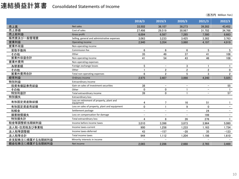### 連結損益計算書 Consolidated Statements of Income

|                 |                                                        | 2018/3      | 2019/3                   | 2020/3            | 2021/3                   | 2022/3                   |
|-----------------|--------------------------------------------------------|-------------|--------------------------|-------------------|--------------------------|--------------------------|
| 売上高             | Net sales                                              | 33.502      | 36.107                   | 38.273            | 39.282                   | 43,452                   |
| 売上原価            | Cost of sales                                          | 27.498      | 29.519                   | 30.987            | 31,702                   | 34.768                   |
| 売上総利益           | Gross profit                                           | 6.004       | 6.587                    | 7.285             | 7.580                    | 8.683                    |
| 販売費及び一般管理費      | Selling, general and administrative expenses           | 3.063       | 3,233                    | 3,425             | 3,382                    | 3,763                    |
| 営業利益            | Operating income                                       | 2.940       | 3.354                    | 3.860             | 4,197                    | 4,919                    |
| 営業外収益           | Non-operating income                                   |             |                          |                   |                          |                          |
| 受取手数料           | Commission fee                                         | 6           | 6                        | 6                 | 5                        | 5                        |
| その他             | Other                                                  | 35          | 49                       | 37                | 41                       | 108                      |
| 営業外収益合計         | Non-operating income                                   | 41          | 54                       | 43                | 46                       | 108                      |
| 営業外費用           | Non-operating expenses                                 |             |                          |                   |                          |                          |
| 為替差額            | Foreign exchange losses                                | 5           | $\qquad \qquad -$        | 3                 |                          |                          |
| その他             | Other                                                  |             | $\overline{2}$           | $\overline{2}$    | $\mathfrak{p}$           | 0                        |
| 営業外費用合計         | Total non-operating expenses                           | 6           | $\overline{2}$           | 5                 | 3                        | $\overline{2}$           |
| 経常利益            | Ordinary income                                        | 2,975       | 3,407                    | 3,898             | 4,240                    | 5,025                    |
| 特別利益            | Extraordinary income                                   |             |                          |                   |                          |                          |
| 投資有価証券売却益       | Gain on sales of investment securities                 | 38          | $\overline{\phantom{0}}$ |                   |                          | 55                       |
| その他             | Other                                                  | $\mathbf 0$ | $\mathbf{0}$             |                   |                          |                          |
| 特別利益計           | Total extraordinary income                             | 39          | $\mathbf{0}$             |                   | $\overline{\phantom{m}}$ | 57                       |
| 特別損失            | <b>Extraordinary loss</b>                              |             |                          |                   |                          |                          |
| 有形固定資産除却損       | Loss on retirement of property, plant and<br>equipment | 4           | 7                        | 16                | 51                       |                          |
| 有形固定資産売却損       | Loss on sales of property, plant and equipment         | 0           |                          | 9                 | $\mathbf 0$              | $\overline{\phantom{m}}$ |
| 和解金             | Settlement package                                     | $-$         | $\overline{\phantom{m}}$ | $\qquad \qquad -$ | 24                       | $\qquad \qquad -$        |
| 損害賠償損失          | Loss on compensation for damage                        |             |                          |                   | 199                      |                          |
| 特別損失計           | Total extraordinary loss                               | 4           | 8                        | 26                | 276                      |                          |
| 税金等調整前当期純利益     | Income before income taxes                             | 3,010       | 3,398                    | 3,873             | 3.964                    | 5,080                    |
| 法人税・住民税及び事業税    | Income taxes-current                                   | 900         | 1,258                    | 1.233             | 1,163                    | 1,734                    |
| 法人税等調整額         | Income taxes-deferred                                  | 43          | $-157$                   | $-28$             | 35                       | $-123$                   |
| 法人税等合計          | Total income taxes                                     | 944         | 1,112                    | 1,204             | 1,198                    | 1,610                    |
| 非支配株主に帰属する当期純利益 | Minority interests in income                           |             |                          |                   |                          |                          |
| 親会社株主に帰属する当期純利益 | Net income                                             | 2.065       | 2.286                    | 2.668             | 2,765                    | 3,469                    |
|                 |                                                        |             |                          |                   |                          |                          |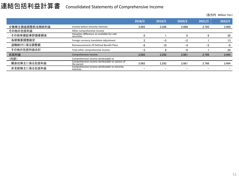## 連結包括利益計算書 Consolidated Statements of Comprehensive Income

|                |                                                              | 2018/3 | 2019/3 | 2020/3 | 2021/3 | 2022/3 |
|----------------|--------------------------------------------------------------|--------|--------|--------|--------|--------|
| 少数株主損益調整前当期純利益 | Income before minority interests                             | 2.065  | 2.286  | 2.668  | 2.765  | 3.469  |
| その他の包括利益       | Other comprehensive income                                   |        |        |        |        |        |
| その他有価証券評価差額金   | Valuation difference on available-for-sale<br>securities     | 0      |        |        |        | 20     |
| 為替換算調整勘定       | Foreign currency translation adjustment                      | 2      | $-5$   | $-2$   |        | 13     |
| 退職給付に係る調整額     | Remeasurements Of Defined Benefit Plans                      | $-6$   | 10     | -4     | $-5$   | $-9$   |
| その他の包括利益合計     | Total other comprehensive income                             | $-3$   | 6      | $-6$   |        | 24     |
| 包括利益           | Comprehensive income                                         | 2.062  | 2.292  | 2.661  | 2.766  | 3.494  |
| (内訳)           | Comprehensive income attributable to                         |        |        |        |        |        |
| 親会社株主に係る包括利益   | Comprehensive income attributable to owners of<br>the parent | 2.062  | 2.292  | 2.661  | 2.766  | 3.494  |
| 非支配株主に係る包括利益   | Comprehensive income attributable to minority<br>interests   |        |        |        |        |        |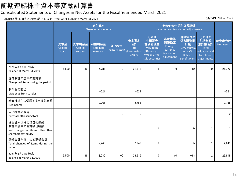### 前期連結株主資本等変動計算書

### Consolidated Statements of Changes in Net Assets for the Fiscal Year ended March 2021

2020年4月1日から2021年3月31日まで from April 1,2020 to March 31,2021 (百万円 Million Yen)

|                                                                                          | 株主資本<br>Shareholders' equity   |                             |                               |                               |                                                       | その他の包括利益累計額<br>Valuation and translation adjustments                                    |                                                                  |                                                                                                |                                                                                      |                     |
|------------------------------------------------------------------------------------------|--------------------------------|-----------------------------|-------------------------------|-------------------------------|-------------------------------------------------------|-----------------------------------------------------------------------------------------|------------------------------------------------------------------|------------------------------------------------------------------------------------------------|--------------------------------------------------------------------------------------|---------------------|
|                                                                                          | 資本金<br>Capital<br><b>Stock</b> | 資本剰余金<br>Capital<br>surplus | 利益剰余金<br>Retained<br>earnings | 自己株式<br><b>Treasury stock</b> | 株主資本<br>合計<br><b>Total</b><br>shareholders'<br>equity | その他<br>有価証券<br>評価差額金<br>Valuation<br>difference on<br>available-for-<br>sale securities | 為替換算<br>調整勘定<br>Foreign<br>currency<br>translation<br>adjustment | 退職給付に<br>係る調整累<br>計額<br><b>Remeasurem</b><br>ents Of<br><b>Defined</b><br><b>Benefit Plans</b> | その他の<br>包括利益<br>累計額合計<br><b>Total</b><br>valuation and<br>translation<br>adjustments | 純資産合計<br>Net assets |
| 2020年3月31日残高<br>Balance at March 31,2019                                                 | 5,500                          | 86                          | 15,786                        | $-0$                          | 21,372                                                | 3                                                                                       | 9                                                                | $-12$                                                                                          | $\mathbf{0}$                                                                         | 21,372              |
| 連結会計年度中の変動額<br>Changes of items during the period                                        |                                |                             |                               |                               |                                                       |                                                                                         |                                                                  |                                                                                                |                                                                                      |                     |
| 剰余金の配当<br>Dividends from surplus                                                         |                                |                             | $-521$                        |                               | $-521$                                                |                                                                                         |                                                                  |                                                                                                |                                                                                      | $-521$              |
| 親会社株主に帰属する当期純利益<br>Net income                                                            |                                |                             | 2,765                         |                               | 2,765                                                 |                                                                                         |                                                                  |                                                                                                |                                                                                      | 2,765               |
| 自己株式の取得<br>Purchaseoftreasurystock                                                       |                                |                             |                               | $-0$                          | $-0$                                                  |                                                                                         |                                                                  |                                                                                                |                                                                                      | $-0$                |
| 株主資本以外の項目の連結<br>会計年度中の変動額(純額)<br>Net changes of items other than<br>shareholders' equity |                                |                             |                               |                               |                                                       | 6                                                                                       | 1                                                                | $-5$                                                                                           |                                                                                      |                     |
| 連結会計年度中の変動額合計<br>Total changes of items during the<br>period                             |                                | $\qquad \qquad -$           | 2,243                         | $-0$                          | 2,243                                                 | 6                                                                                       | 1                                                                | $-5$                                                                                           |                                                                                      | 2,245               |
| 2021年3月31日残高<br>Balance at March 31,2020                                                 | 5,500                          | 86                          | 18,030                        | $-0$                          | 23,615                                                | 10                                                                                      | 10                                                               | $-18$                                                                                          | 2                                                                                    | 23,618              |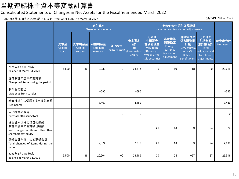### 当期連結株主資本等変動計算書

#### Consolidated Statements of Changes in Net Assets for the Fiscal Year ended March 2022

2021年4月1日から2022年3月31日まで from April 1,2021 to March 31,2022 (百万円 Million Yen)

|                                                                                          | 株主資本<br>Shareholders' equity   |                             |                               |                               |                                                       | その他の包括利益累計額<br>Valuation and translation adjustments                                    |                                                                  |                                                                 |                                                                                                    |                     |
|------------------------------------------------------------------------------------------|--------------------------------|-----------------------------|-------------------------------|-------------------------------|-------------------------------------------------------|-----------------------------------------------------------------------------------------|------------------------------------------------------------------|-----------------------------------------------------------------|----------------------------------------------------------------------------------------------------|---------------------|
|                                                                                          | 資本金<br>Capital<br><b>Stock</b> | 資本剰余金<br>Capital<br>surplus | 利益剰余金<br>Retained<br>earnings | 自己株式<br><b>Treasury stock</b> | 株主資本<br>合計<br><b>Total</b><br>shareholders'<br>equity | その他<br>有価証券<br>評価差額金<br>Valuation<br>difference on<br>available-for-<br>sale securities | 為替換算<br>調整勘定<br>Foreign<br>currency<br>translation<br>adjustment | 退職給付に<br>係る調整累<br>計額<br>Remeasurem<br>ents Of<br><b>Defined</b> | その他の<br>包括利益<br>累計額合計<br><b>Total</b><br>valuation and<br>translation<br>Benefit Plans adjustments | 純資産合計<br>Net assets |
| 2021年3月31日残高<br>Balance at March 31,2020                                                 | 5,500                          | 86                          | 18,030                        | $-0$                          | 23.615                                                | 10                                                                                      | 10                                                               | $-18$                                                           | $\overline{2}$                                                                                     | 23,618              |
| 連結会計年度中の変動額<br>Changes of items during the period                                        |                                |                             |                               |                               |                                                       |                                                                                         |                                                                  |                                                                 |                                                                                                    |                     |
| 剰余金の配当<br>Dividends from surplus                                                         |                                |                             | $-595$                        |                               | $-595$                                                |                                                                                         |                                                                  |                                                                 |                                                                                                    | $-595$              |
| 親会社株主に帰属する当期純利益<br>Net income                                                            |                                |                             | 3.469                         |                               | 3.469                                                 |                                                                                         |                                                                  |                                                                 |                                                                                                    | 3,469               |
| 自己株式の取得<br>Purchaseoftreasurystock                                                       |                                |                             |                               | $-0$                          | $-0$                                                  |                                                                                         |                                                                  |                                                                 |                                                                                                    | $-0$                |
| 株主資本以外の項目の連結<br>会計年度中の変動額(純額)<br>Net changes of items other than<br>shareholders' equity |                                |                             |                               |                               |                                                       | 20                                                                                      | 13                                                               | $-9$                                                            | 24                                                                                                 | 24                  |
| 連結会計年度中の変動額合計<br>Total changes of items during the<br>period                             | $\overline{\phantom{m}}$       | $\qquad \qquad -$           | 2,874                         | $-0$                          | 2,873                                                 | 20                                                                                      | 13                                                               | $-9$                                                            | 24                                                                                                 | 2,898               |
| 2022年3月31日残高<br>Balance at March 31,2021                                                 | 5,500                          | 86                          | 20,904                        | $-0$                          | 26,489                                                | 30                                                                                      | 24                                                               | $-27$                                                           | 27                                                                                                 | 26,516              |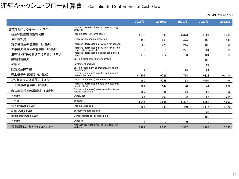## 連結キャッシュ・フロー計算書 Consolidated Statements of Cash Flows

|                     |                                                                        | 2018/3                   | 2019/3                   | 2020/3            | 2021/3   | 2022/3   |
|---------------------|------------------------------------------------------------------------|--------------------------|--------------------------|-------------------|----------|----------|
| 営業活動によるキャッシュ・フロー    | Net cash provided by (used in) operating<br>activities                 |                          |                          |                   |          |          |
| 税金等調整前当期純利益         | Income before income taxes                                             | 3.010                    | 3.398                    | 3.873             | 3.964    | 5.080    |
| 減価償却費               | Depreciation and amortization                                          | 496                      | 460                      | 475               | 488      | 540      |
| 賞与引当金の増減額(-は減少)     | Increase (decrease) in provision for bonuses                           | 62                       | 279                      | $-245$            | 108      | 196      |
| 工事損失引当金の増減額(-は減少)   | Increase (decrease) in provision for loss on<br>construction contracts | 3                        | $-3$                     | 221               | $-201$   | $-15$    |
| 退職給付に係る負債の増減額(-は減少) | Increase (decrease) in net defined benefit<br>liability                | 116                      | 112                      | 108               | 101      | 103      |
| 損害賠償損失              | Loss on compensation for damage                                        |                          |                          |                   | 199      |          |
| 和解金                 | Settlement package                                                     |                          | $\overline{\phantom{0}}$ |                   | 24       |          |
| 固定資産除却損             | Loss on retirement of property, plant and<br>equipment                 |                          | 7                        | 16                | 51       |          |
| 売上債権の増減額(-は増加)      | Decrease (increase) in notes and accounts<br>receivable-trade          | $-1.201$                 | $-726$                   | 714               | $-823$   | $-1,114$ |
| たな卸資産の増減額(-は増加)     | Decrease (increase) in inventories                                     | 180                      | $-258$                   | 34                | $-404$   | $-4$     |
| 仕入債務の増減額(-は減少)      | Increase (decrease) in notes and accounts<br>payable-trade             | 161                      | 144                      | 170               | 41       | 292      |
| 未払消費税等の増減額(-は減少)    | Decrease (increase) in consumption taxes<br>refund receivable          | 190                      | $-25$                    | 153               | $-84$    | 108      |
| その他                 | Other, net                                                             | 25                       | 207                      | $-192$            | $-66$    | $-284$   |
| 小計                  | Subtotal                                                               | 3.046                    | 3.595                    | 5.327             | 3.398    | 4.903    |
| 法人税等の支払額            | Income taxes paid                                                      | $-765$                   | $-937$                   | $-1,440$          | $-1.175$ | $-1.172$ |
| 和解金の支払額             | Settlement package paid                                                |                          |                          |                   | $-24$    |          |
| 損害賠償金の支払額           | Compensation for damage paid                                           | $\overline{\phantom{a}}$ | $\overline{\phantom{0}}$ | $\qquad \qquad -$ | $-199$   |          |
| その他                 | Other net                                                              | π                        | $\Omega$                 | 0                 | $\Omega$ |          |
| 営業活動によるキャッシュ・フロー    | Net cash provided by (used in) operating<br>activities                 | 2.289                    | 2.657                    | 3.887             | 1.998    | 3.732    |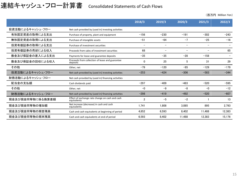### 連結キャッシュ・フロー計算書 Consolidated Statements of Cash Flows

|                                                              |                                                                | 2018/3                   | 2019/3                   | 2020/3                   | 2021/3 | 2022/3                   |
|--------------------------------------------------------------|----------------------------------------------------------------|--------------------------|--------------------------|--------------------------|--------|--------------------------|
| 投資活動によるキャッシュ・フロー                                             | Net cash provided by (used in) investing activities            |                          |                          |                          |        |                          |
| 有形固定資産の取得による支出                                               | Purchase of property, plant and equipment                      | $-156$                   | $-230$                   | $-191$                   | $-302$ | $-243$                   |
| 無形固定資産の取得による支出                                               | Purchase of intangible assets                                  | $-51$                    | $-64$                    | $-7$                     | $-25$  | $-16$                    |
| 投資有価証券の取得による支出                                               | Purchase of investment securities                              | $\overline{\phantom{0}}$ |                          | $\overline{\phantom{0}}$ |        |                          |
| 投資有価証券の売却による収入                                               | Proceeds from sales of investment securities                   | 68                       | $\overline{\phantom{m}}$ | $\overline{\phantom{m}}$ |        | 65                       |
| 敷金及び保証金の差入による支出                                              | Payments for lease and guarantee deposits                      | $-35$                    | $-35$                    | $-28$                    | $-158$ | $\overline{\phantom{0}}$ |
| 敷金及び保証金の回収による収入                                              | Proceeds from collection of lease and guarantee<br>deposits    | $\mathbf 0$              | 25                       | 5                        | 31     | 29                       |
| その他                                                          | Other, net                                                     | $-79$                    | $-120$                   | $-85$                    | $-129$ | $-179$                   |
| 投資活動によるキャッシュ・フロー                                             | Net cash provided by (used in) investing activities            | $-253$                   | $-424$                   | $-306$                   | $-583$ | $-344$                   |
| 財務活動によるキャッシュ・フロー                                             | Net cash provided by (used in) financing activities            |                          |                          |                          |        |                          |
| 配当金の支払額                                                      | Cash dividends paid                                            | $-297$                   | $-409$                   | $-483$                   | $-520$ | $-595$                   |
| その他                                                          | Other, net                                                     | $-0$                     | $-9$                     | $-8$                     | $-0$   | $-12$                    |
| 財務活動によるキャッシュ・フロー                                             | Net cash provided by (used in) financing activities            | $-298$                   | $-419$                   | $-492$                   | $-520$ | $-607$                   |
| 現金及び現金同等物に係る換算差額                                             | Effect of exchange rate change on cash and cash<br>equivalents | $\overline{2}$           | $-5$                     | $-2$                     |        | 13                       |
| 現金及び現金同等物の増加額                                                | Net increase (decrease) in cash and cash<br>equivalents        | 1.741                    | 1.808                    | 3.085                    | 895    | 2.793                    |
| 現金及び現金同等物の期首残高                                               | Cash and cash equivalents at beginning of period               | 4.852                    | 6.593                    | 8.402                    | 11.488 | 12.383                   |
| 現金及び現金同等物の期末残高<br>Cash and cash equivalents at end of period |                                                                | 6.593                    | 8.402                    | 11.488                   | 12.383 | 15.176                   |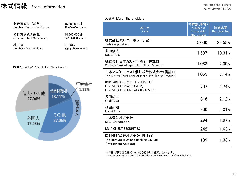### 株式情報 Stock Information

|                                         |                                  | 大株主 Major Shareholders                                                                            |                                            |                      |
|-----------------------------------------|----------------------------------|---------------------------------------------------------------------------------------------------|--------------------------------------------|----------------------|
| 発行可能株式総数<br>Number of Authorized Shares | 45,000,000株<br>45,000,000 shares | 株主名<br><b>Name</b>                                                                                | 持株数(千株)<br>Number of<br><b>Shares Held</b> | 持株比率<br>Shareholding |
| 発行済株式の総数<br>Common Stock Outstanding    | 14,900,000株<br>14,900,000 shares |                                                                                                   | (Thousands)                                |                      |
| 株主数<br>5,186名<br>Number of Shareholders |                                  | 株式会社タダ・コーポレーション<br><b>Tada Corporation</b>                                                        | 5,000                                      | 33.55%               |
|                                         | 5,186 shareholders               | 多田修人<br>Naoto Tada                                                                                | 1,537                                      | 10.31%               |
| 株式分布状況 Shareholder Classification       |                                  | 株式会社日本カストディ銀行(信託口)<br>Custody Bank of Japan, Ltd. (Trust Account)                                 | 1,088                                      | 7.30%                |
|                                         |                                  | 日本マスタートラスト信託銀行株式会社(信託口)<br>The Master Trust Bank of Japan, Ltd. (Trust Account)                   | 1,065                                      | 7.14%                |
| 個人・その他                                  | 証券会社<br>1.11%<br>金融機関            | <b>BNP PARIBAS SECURITIES SERVICES</b><br>LUXEMBOURG/JASDEC/FIM/<br>LUXEMBOURG FUNDS/UCITS ASSETS | 707                                        | 4.74%                |
| 27.06%                                  | 18.11%                           | 多田尚二<br>Shoji Tada                                                                                | 316                                        | 2.12%                |
|                                         | 国内法人                             | 多田直樹<br>Naoki Tada                                                                                | 300                                        | 2.01%                |
| その他<br>外国人<br>27.06%<br>17.53%          |                                  | 日本電気株式会社<br>NEC Corporation                                                                       | 294                                        | 1.97%                |
|                                         |                                  | <b>MSIP CLIENT SECURITIES</b>                                                                     | 242                                        | 1.63%                |
|                                         |                                  | 野村信託銀行株式会社(投信口)<br>The Nomura Trust and Banking Co., Ltd.<br>(Investment Account)                 | 199                                        | 1.33%                |
|                                         |                                  | ※持株比率は自己株式(537株)を控除して計算しております。                                                                    |                                            |                      |

Treasury stock (537 shares) was excluded from the calculation of shareholdings.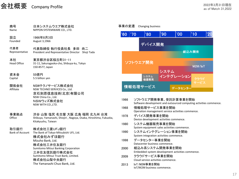### 会社概要 Company Profile

| 商号<br>Name                     | 日本システムウエア株式会社<br>NIPPON SYSTEMWARE CO., LTD.                                                                                                                                                                                                        |
|--------------------------------|-----------------------------------------------------------------------------------------------------------------------------------------------------------------------------------------------------------------------------------------------------|
| 設立<br>Founded                  | 1966年8月3日<br>August 3,1966                                                                                                                                                                                                                          |
| 代表者<br>Representative          | 代表取締役 執行役員社長 多田<br>尚二<br>President and Representative Director Shoji Tada                                                                                                                                                                           |
| 本社<br><b>Head Office</b>       | 東京都渋谷区桜丘町31-11<br>31-11, Sakuragaoka-cho, Shibuya-ku, Tokyo<br>150-8577, Japan                                                                                                                                                                      |
| 資本金<br>Capital                 | 55億円<br>5.5 billion yen                                                                                                                                                                                                                             |
| 関係会社<br>Affiliate              | NSWテクノサービス株式会社<br>NSW TECHNO SERVICES Co., Ltd.<br>京石刻恩信息技術(北京)有限公司<br>NSW China Co., Ltd.<br>NSWウィズ株式会社<br>NSW WITH CO., LTD.                                                                                                                      |
| 事業拠点<br>Office                 | 渋谷 山梨 塩尻 名古屋 大阪 広島 福岡 北九州 台湾<br>Shibuya, Yamanashi, Shiojiri, Nagoya, Osaka, Hiroshima, Fukuoka,<br>Kitakyushu, Taiwan                                                                                                                              |
| 取引銀行<br><b>Bank of Account</b> | 株式会社三菱UFJ銀行<br>The Bank of Tokyo-Mitsubishi UFJ, Ltd.<br>株式会社みずほ銀行<br>Mizuho Bank, Ltd.<br>株式会社三井住友銀行<br>Sumitomo Mitsui Banking Corporation<br>三井住友信託銀行株式会社<br>Sumitomo Mitsui Trust Bank, Limited.<br>株式会社山梨中央銀行<br>The Yamanashi Chuo Bank, Ltd. |
|                                |                                                                                                                                                                                                                                                     |

#### 事業の変遷 Changing business



|                            | 1966 | ソフトウエア開発事業、受託計算事業を開始<br>Software development and outsourced computing activities commence. |
|----------------------------|------|--------------------------------------------------------------------------------------------|
|                            | 1968 | 情報処理サービス事業を開始<br>Operation management service activities commence.                         |
| :九州 台湾<br>oshima, Fukuoka, | 1978 | デバイス開発事業を開始<br>Device development activities commence.                                     |
|                            | 1980 | システム機器販売事業を開始<br>System equipment sales activities commence.                               |
|                            | 1990 | システムインテグレーション事業を開始<br>System integration activities commence.                              |
|                            | 1998 | データセンター事業を開始<br>Datacenter business commence.                                              |
|                            | 2000 | 組込み系システム開発事業を開始<br>Embedded system development activities commence.                        |
|                            | 2009 | クラウドサービス事業を開始<br>Cloud service activities commence.                                        |
|                            | 2013 | IoT/M2M事業を開始<br>IoT/M2M business commence.                                                 |